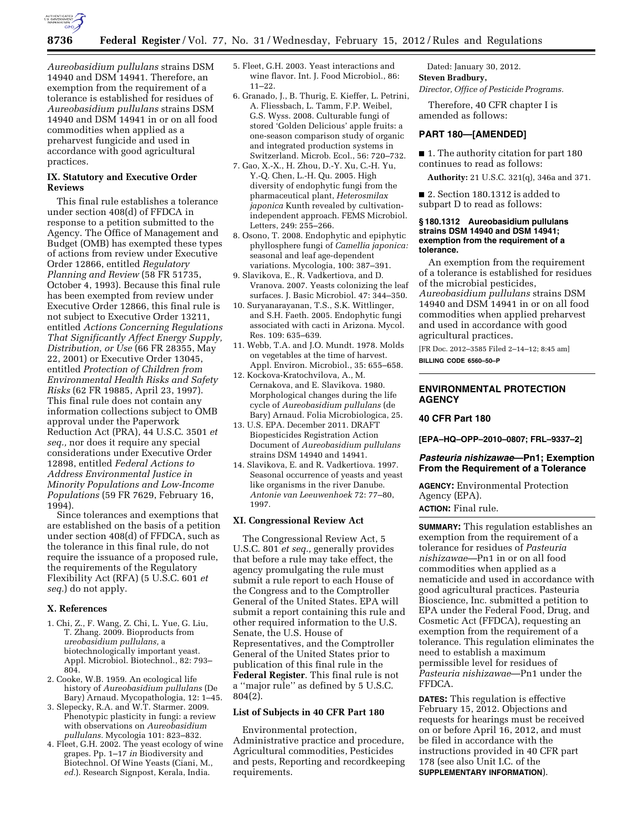

*Aureobasidium pullulans* strains DSM 14940 and DSM 14941. Therefore, an exemption from the requirement of a tolerance is established for residues of *Aureobasidium pullulans* strains DSM 14940 and DSM 14941 in or on all food commodities when applied as a preharvest fungicide and used in accordance with good agricultural practices.

### **IX. Statutory and Executive Order Reviews**

This final rule establishes a tolerance under section 408(d) of FFDCA in response to a petition submitted to the Agency. The Office of Management and Budget (OMB) has exempted these types of actions from review under Executive Order 12866, entitled *Regulatory Planning and Review* (58 FR 51735, October 4, 1993). Because this final rule has been exempted from review under Executive Order 12866, this final rule is not subject to Executive Order 13211, entitled *Actions Concerning Regulations That Significantly Affect Energy Supply, Distribution, or Use* (66 FR 28355, May 22, 2001) or Executive Order 13045, entitled *Protection of Children from Environmental Health Risks and Safety Risks* (62 FR 19885, April 23, 1997). This final rule does not contain any information collections subject to OMB approval under the Paperwork Reduction Act (PRA), 44 U.S.C. 3501 *et seq.,* nor does it require any special considerations under Executive Order 12898, entitled *Federal Actions to Address Environmental Justice in Minority Populations and Low-Income Populations* (59 FR 7629, February 16, 1994).

Since tolerances and exemptions that are established on the basis of a petition under section 408(d) of FFDCA, such as the tolerance in this final rule, do not require the issuance of a proposed rule, the requirements of the Regulatory Flexibility Act (RFA) (5 U.S.C. 601 *et seq.*) do not apply.

#### **X. References**

- 1. Chi, Z., F. Wang, Z. Chi, L. Yue, G. Liu, T. Zhang. 2009. Bioproducts from *ureobasidium pullulans,* a biotechnologically important yeast. Appl. Microbiol. Biotechnol., 82: 793– 804.
- 2. Cooke, W.B. 1959. An ecological life history of *Aureobasidium pullulans* (De Bary) Arnaud. Mycopathologia, 12: 1–45.
- 3. Slepecky, R.A. and W.T. Starmer. 2009. Phenotypic plasticity in fungi: a review with observations on *Aureobasidium pullulans.* Mycologia 101: 823–832.
- 4. Fleet, G.H. 2002. The yeast ecology of wine grapes. Pp. 1–17 *in* Biodiversity and Biotechnol. Of Wine Yeasts (Ciani, M., *ed.*). Research Signpost, Kerala, India.
- 5. Fleet, G.H. 2003. Yeast interactions and wine flavor. Int. J. Food Microbiol., 86: 11–22.
- 6. Granado, J., B. Thurig, E. Kieffer, L. Petrini, A. Fliessbach, L. Tamm, F.P. Weibel, G.S. Wyss. 2008. Culturable fungi of stored 'Golden Delicious' apple fruits: a one-season comparison study of organic and integrated production systems in Switzerland. Microb. Ecol., 56: 720–732.
- 7. Gao, X.-X., H. Zhou, D.-Y. Xu, C.-H. Yu, Y.-Q. Chen, L.-H. Qu. 2005. High diversity of endophytic fungi from the pharmaceutical plant, *Heterosmilax japonica* Kunth revealed by cultivationindependent approach. FEMS Microbiol. Letters, 249: 255–266.
- 8. Osono, T. 2008. Endophytic and epiphytic phyllosphere fungi of *Camellia japonica:*  seasonal and leaf age-dependent variations. Mycologia, 100: 387–391.
- 9. Slavikova, E., R. Vadkertiova, and D. Vranova. 2007. Yeasts colonizing the leaf surfaces. J. Basic Microbiol. 47: 344–350.
- 10. Suryanarayanan, T.S., S.K. Wittlinger, and S.H. Faeth. 2005. Endophytic fungi associated with cacti in Arizona. Mycol. Res. 109: 635–639.
- 11. Webb, T.A. and J.O. Mundt. 1978. Molds on vegetables at the time of harvest. Appl. Environ. Microbiol., 35: 655–658.
- 12. Kockova-Kratochvilova, A., M. Cernakova, and E. Slavikova. 1980. Morphological changes during the life cycle of *Aureobasidium pullulans* (de Bary) Arnaud. Folia Microbiologica, 25.
- 13. U.S. EPA. December 2011. DRAFT Biopesticides Registration Action Document of *Aureobasidium pullulans*  strains DSM 14940 and 14941.
- 14. Slavikova, E. and R. Vadkertiova. 1997. Seasonal occurrence of yeasts and yeast like organisms in the river Danube. *Antonie van Leeuwenhoek* 72: 77–80, 1997.

#### **XI. Congressional Review Act**

The Congressional Review Act, 5 U.S.C. 801 *et seq.,* generally provides that before a rule may take effect, the agency promulgating the rule must submit a rule report to each House of the Congress and to the Comptroller General of the United States. EPA will submit a report containing this rule and other required information to the U.S. Senate, the U.S. House of Representatives, and the Comptroller General of the United States prior to publication of this final rule in the **Federal Register**. This final rule is not a ''major rule'' as defined by 5 U.S.C. 804(2).

#### **List of Subjects in 40 CFR Part 180**

Environmental protection, Administrative practice and procedure, Agricultural commodities, Pesticides and pests, Reporting and recordkeeping requirements.

Dated: January 30, 2012. **Steven Bradbury,** 

*Director, Office of Pesticide Programs.* 

Therefore, 40 CFR chapter I is amended as follows:

## **PART 180—[AMENDED]**

■ 1. The authority citation for part 180 continues to read as follows:

**Authority:** 21 U.S.C. 321(q), 346a and 371.

■ 2. Section 180.1312 is added to subpart D to read as follows:

#### **§ 180.1312 Aureobasidium pullulans strains DSM 14940 and DSM 14941; exemption from the requirement of a tolerance.**

An exemption from the requirement of a tolerance is established for residues of the microbial pesticides, *Aureobasidium pullulans* strains DSM 14940 and DSM 14941 in or on all food commodities when applied preharvest and used in accordance with good agricultural practices.

[FR Doc. 2012–3585 Filed 2–14–12; 8:45 am] **BILLING CODE 6560–50–P** 

## **ENVIRONMENTAL PROTECTION AGENCY**

## **40 CFR Part 180**

**[EPA–HQ–OPP–2010–0807; FRL–9337–2]** 

## *Pasteuria nishizawae***—Pn1; Exemption From the Requirement of a Tolerance**

**AGENCY:** Environmental Protection Agency (EPA).

**ACTION:** Final rule.

**SUMMARY:** This regulation establishes an exemption from the requirement of a tolerance for residues of *Pasteuria nishizawae*—Pn1 in or on all food commodities when applied as a nematicide and used in accordance with good agricultural practices. Pasteuria Bioscience, Inc. submitted a petition to EPA under the Federal Food, Drug, and Cosmetic Act (FFDCA), requesting an exemption from the requirement of a tolerance. This regulation eliminates the need to establish a maximum permissible level for residues of *Pasteuria nishizawae*—Pn1 under the FFDCA.

**DATES:** This regulation is effective February 15, 2012. Objections and requests for hearings must be received on or before April 16, 2012, and must be filed in accordance with the instructions provided in 40 CFR part 178 (see also Unit I.C. of the **SUPPLEMENTARY INFORMATION**).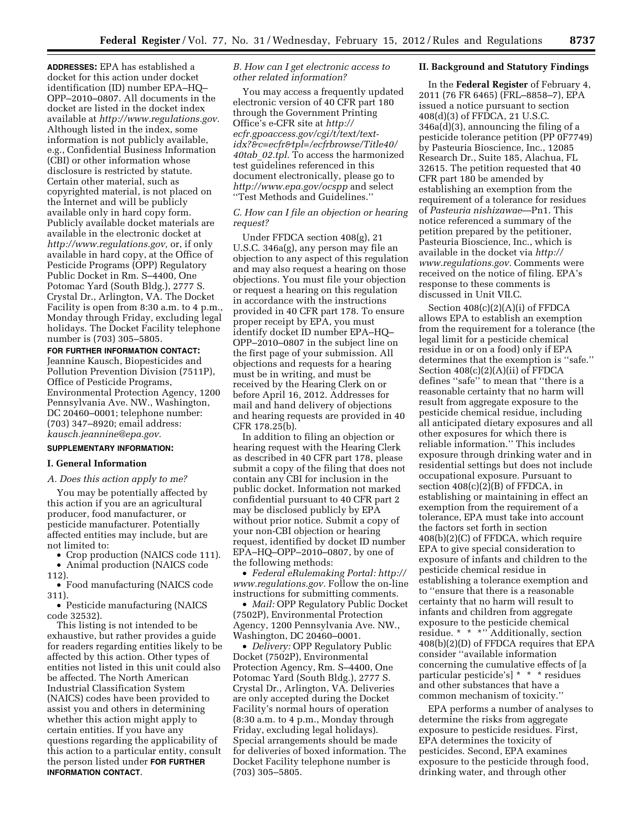**ADDRESSES:** EPA has established a docket for this action under docket identification (ID) number EPA–HQ– OPP–2010–0807. All documents in the docket are listed in the docket index available at *[http://www.regulations.gov.](http://www.regulations.gov)*  Although listed in the index, some information is not publicly available, e.g., Confidential Business Information (CBI) or other information whose disclosure is restricted by statute. Certain other material, such as copyrighted material, is not placed on the Internet and will be publicly available only in hard copy form. Publicly available docket materials are available in the electronic docket at *[http://www.regulations.gov,](http://www.regulations.gov)* or, if only available in hard copy, at the Office of Pesticide Programs (OPP) Regulatory Public Docket in Rm. S–4400, One Potomac Yard (South Bldg.), 2777 S. Crystal Dr., Arlington, VA. The Docket Facility is open from 8:30 a.m. to 4 p.m., Monday through Friday, excluding legal holidays. The Docket Facility telephone number is (703) 305–5805.

**FOR FURTHER INFORMATION CONTACT:**  Jeannine Kausch, Biopesticides and Pollution Prevention Division (7511P), Office of Pesticide Programs, Environmental Protection Agency, 1200 Pennsylvania Ave. NW., Washington, DC 20460–0001; telephone number: (703) 347–8920; email address: *[kausch.jeannine@epa.gov.](mailto:kausch.jeannine@epa.gov)* 

## **SUPPLEMENTARY INFORMATION:**

#### **I. General Information**

#### *A. Does this action apply to me?*

You may be potentially affected by this action if you are an agricultural producer, food manufacturer, or pesticide manufacturer. Potentially affected entities may include, but are not limited to:

• Crop production (NAICS code 111).

• Animal production (NAICS code

112). • Food manufacturing (NAICS code 311).

• Pesticide manufacturing (NAICS code 32532).

This listing is not intended to be exhaustive, but rather provides a guide for readers regarding entities likely to be affected by this action. Other types of entities not listed in this unit could also be affected. The North American Industrial Classification System (NAICS) codes have been provided to assist you and others in determining whether this action might apply to certain entities. If you have any questions regarding the applicability of this action to a particular entity, consult the person listed under **FOR FURTHER INFORMATION CONTACT**.

*B. How can I get electronic access to other related information?* 

You may access a frequently updated electronic version of 40 CFR part 180 through the Government Printing Office's e-CFR site at *[http://](http://ecfr.gpoaccess.gov/cgi/t/text/text-idx?&c=ecfr&tpl=/ecfrbrowse/Title40/40tab_02.tpl)  [ecfr.gpoaccess.gov/cgi/t/text/text](http://ecfr.gpoaccess.gov/cgi/t/text/text-idx?&c=ecfr&tpl=/ecfrbrowse/Title40/40tab_02.tpl)[idx?&c=ecfr&tpl=/ecfrbrowse/Title40/](http://ecfr.gpoaccess.gov/cgi/t/text/text-idx?&c=ecfr&tpl=/ecfrbrowse/Title40/40tab_02.tpl)  40tab*\_*[02.tpl.](http://ecfr.gpoaccess.gov/cgi/t/text/text-idx?&c=ecfr&tpl=/ecfrbrowse/Title40/40tab_02.tpl)* To access the harmonized test guidelines referenced in this document electronically, please go to *<http://www.epa.gov/ocspp>* and select ''Test Methods and Guidelines.''

## *C. How can I file an objection or hearing request?*

Under FFDCA section 408(g), 21 U.S.C. 346a(g), any person may file an objection to any aspect of this regulation and may also request a hearing on those objections. You must file your objection or request a hearing on this regulation in accordance with the instructions provided in 40 CFR part 178. To ensure proper receipt by EPA, you must identify docket ID number EPA–HQ– OPP–2010–0807 in the subject line on the first page of your submission. All objections and requests for a hearing must be in writing, and must be received by the Hearing Clerk on or before April 16, 2012. Addresses for mail and hand delivery of objections and hearing requests are provided in 40 CFR 178.25(b).

In addition to filing an objection or hearing request with the Hearing Clerk as described in 40 CFR part 178, please submit a copy of the filing that does not contain any CBI for inclusion in the public docket. Information not marked confidential pursuant to 40 CFR part 2 may be disclosed publicly by EPA without prior notice. Submit a copy of your non-CBI objection or hearing request, identified by docket ID number EPA–HQ–OPP–2010–0807, by one of the following methods:

• *Federal eRulemaking Portal: [http://](http://www.regulations.gov)  [www.regulations.gov.](http://www.regulations.gov)* Follow the on-line instructions for submitting comments.

• *Mail:* OPP Regulatory Public Docket (7502P), Environmental Protection Agency, 1200 Pennsylvania Ave. NW., Washington, DC 20460–0001.

• *Delivery:* OPP Regulatory Public Docket (7502P), Environmental Protection Agency, Rm. S–4400, One Potomac Yard (South Bldg.), 2777 S. Crystal Dr., Arlington, VA. Deliveries are only accepted during the Docket Facility's normal hours of operation (8:30 a.m. to 4 p.m., Monday through Friday, excluding legal holidays). Special arrangements should be made for deliveries of boxed information. The Docket Facility telephone number is (703) 305–5805.

#### **II. Background and Statutory Findings**

In the **Federal Register** of February 4, 2011 (76 FR 6465) (FRL–8858–7), EPA issued a notice pursuant to section 408(d)(3) of FFDCA, 21 U.S.C. 346a(d)(3), announcing the filing of a pesticide tolerance petition (PP 0F7749) by Pasteuria Bioscience, Inc., 12085 Research Dr., Suite 185, Alachua, FL 32615. The petition requested that 40 CFR part 180 be amended by establishing an exemption from the requirement of a tolerance for residues of *Pasteuria nishizawae*—Pn1. This notice referenced a summary of the petition prepared by the petitioner, Pasteuria Bioscience, Inc., which is available in the docket via *[http://](http://www.regulations.gov) [www.regulations.gov.](http://www.regulations.gov)* Comments were received on the notice of filing. EPA's response to these comments is discussed in Unit VII.C.

Section 408(c)(2)(A)(i) of FFDCA allows EPA to establish an exemption from the requirement for a tolerance (the legal limit for a pesticide chemical residue in or on a food) only if EPA determines that the exemption is ''safe.'' Section 408(c)(2)(A)(ii) of FFDCA defines ''safe'' to mean that ''there is a reasonable certainty that no harm will result from aggregate exposure to the pesticide chemical residue, including all anticipated dietary exposures and all other exposures for which there is reliable information.'' This includes exposure through drinking water and in residential settings but does not include occupational exposure. Pursuant to section  $408(c)(2)(B)$  of FFDCA, in establishing or maintaining in effect an exemption from the requirement of a tolerance, EPA must take into account the factors set forth in section 408(b)(2)(C) of FFDCA, which require EPA to give special consideration to exposure of infants and children to the pesticide chemical residue in establishing a tolerance exemption and to ''ensure that there is a reasonable certainty that no harm will result to infants and children from aggregate exposure to the pesticide chemical residue. \* \* \*'' Additionally, section 408(b)(2)(D) of FFDCA requires that EPA consider ''available information concerning the cumulative effects of [a particular pesticide's] \* \* \* residues and other substances that have a common mechanism of toxicity.''

EPA performs a number of analyses to determine the risks from aggregate exposure to pesticide residues. First, EPA determines the toxicity of pesticides. Second, EPA examines exposure to the pesticide through food, drinking water, and through other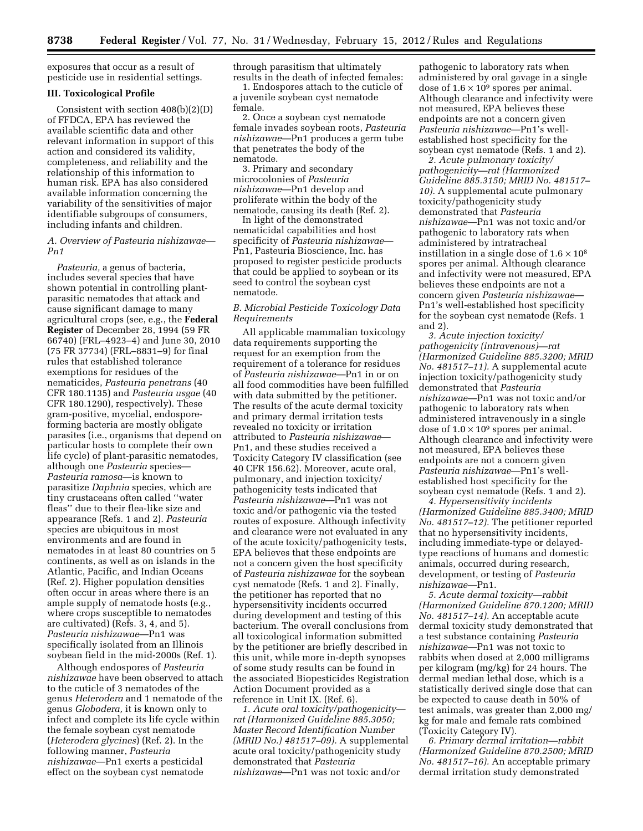exposures that occur as a result of pesticide use in residential settings.

### **III. Toxicological Profile**

Consistent with section 408(b)(2)(D) of FFDCA, EPA has reviewed the available scientific data and other relevant information in support of this action and considered its validity, completeness, and reliability and the relationship of this information to human risk. EPA has also considered available information concerning the variability of the sensitivities of major identifiable subgroups of consumers, including infants and children.

### *A. Overview of Pasteuria nishizawae— Pn1*

*Pasteuria,* a genus of bacteria, includes several species that have shown potential in controlling plantparasitic nematodes that attack and cause significant damage to many agricultural crops (see, e.g., the **Federal Register** of December 28, 1994 (59 FR 66740) (FRL–4923–4) and June 30, 2010 (75 FR 37734) (FRL–8831–9) for final rules that established tolerance exemptions for residues of the nematicides, *Pasteuria penetrans* (40 CFR 180.1135) and *Pasteuria usgae* (40 CFR 180.1290), respectively). These gram-positive, mycelial, endosporeforming bacteria are mostly obligate parasites (i.e., organisms that depend on particular hosts to complete their own life cycle) of plant-parasitic nematodes, although one *Pasteuria* species— *Pasteuria ramosa*—is known to parasitize *Daphnia* species, which are tiny crustaceans often called ''water fleas'' due to their flea-like size and appearance (Refs. 1 and 2). *Pasteuria*  species are ubiquitous in most environments and are found in nematodes in at least 80 countries on 5 continents, as well as on islands in the Atlantic, Pacific, and Indian Oceans (Ref. 2). Higher population densities often occur in areas where there is an ample supply of nematode hosts (e.g., where crops susceptible to nematodes are cultivated) (Refs. 3, 4, and 5). *Pasteuria nishizawae*—Pn1 was specifically isolated from an Illinois soybean field in the mid-2000s (Ref. 1).

Although endospores of *Pasteuria nishizawae* have been observed to attach to the cuticle of 3 nematodes of the genus *Heterodera* and 1 nematode of the genus *Globodera,* it is known only to infect and complete its life cycle within the female soybean cyst nematode (*Heterodera glycines*) (Ref. 2). In the following manner, *Pasteuria nishizawae*—Pn1 exerts a pesticidal effect on the soybean cyst nematode

through parasitism that ultimately results in the death of infected females:

1. Endospores attach to the cuticle of a juvenile soybean cyst nematode female.

2. Once a soybean cyst nematode female invades soybean roots, *Pasteuria nishizawae*—Pn1 produces a germ tube that penetrates the body of the nematode.

3. Primary and secondary microcolonies of *Pasteuria nishizawae*—Pn1 develop and proliferate within the body of the nematode, causing its death (Ref. 2).

In light of the demonstrated nematicidal capabilities and host specificity of *Pasteuria nishizawae*— Pn1, Pasteuria Bioscience, Inc. has proposed to register pesticide products that could be applied to soybean or its seed to control the soybean cyst nematode.

### *B. Microbial Pesticide Toxicology Data Requirements*

All applicable mammalian toxicology data requirements supporting the request for an exemption from the requirement of a tolerance for residues of *Pasteuria nishizawae*—Pn1 in or on all food commodities have been fulfilled with data submitted by the petitioner. The results of the acute dermal toxicity and primary dermal irritation tests revealed no toxicity or irritation attributed to *Pasteuria nishizawae*— Pn1, and these studies received a Toxicity Category IV classification (see 40 CFR 156.62). Moreover, acute oral, pulmonary, and injection toxicity/ pathogenicity tests indicated that *Pasteuria nishizawae*—Pn1 was not toxic and/or pathogenic via the tested routes of exposure. Although infectivity and clearance were not evaluated in any of the acute toxicity/pathogenicity tests, EPA believes that these endpoints are not a concern given the host specificity of *Pasteuria nishizawae* for the soybean cyst nematode (Refs. 1 and 2). Finally, the petitioner has reported that no hypersensitivity incidents occurred during development and testing of this bacterium. The overall conclusions from all toxicological information submitted by the petitioner are briefly described in this unit, while more in-depth synopses of some study results can be found in the associated Biopesticides Registration Action Document provided as a reference in Unit IX. (Ref. 6).

*1. Acute oral toxicity/pathogenicity rat (Harmonized Guideline 885.3050; Master Record Identification Number (MRID No.) 481517–09).* A supplemental acute oral toxicity/pathogenicity study demonstrated that *Pasteuria nishizawae*—Pn1 was not toxic and/or

pathogenic to laboratory rats when administered by oral gavage in a single dose of  $1.6 \times 10^9$  spores per animal. Although clearance and infectivity were not measured, EPA believes these endpoints are not a concern given *Pasteuria nishizawae*—Pn1's wellestablished host specificity for the soybean cyst nematode (Refs. 1 and 2).

*2. Acute pulmonary toxicity/ pathogenicity—rat (Harmonized Guideline 885.3150; MRID No. 481517– 10).* A supplemental acute pulmonary toxicity/pathogenicity study demonstrated that *Pasteuria nishizawae*—Pn1 was not toxic and/or pathogenic to laboratory rats when administered by intratracheal instillation in a single dose of  $1.6 \times 10^8$ spores per animal. Although clearance and infectivity were not measured, EPA believes these endpoints are not a concern given *Pasteuria nishizawae*— Pn1's well-established host specificity for the soybean cyst nematode (Refs. 1 and 2).

*3. Acute injection toxicity/ pathogenicity (intravenous)—rat (Harmonized Guideline 885.3200; MRID No. 481517–11).* A supplemental acute injection toxicity/pathogenicity study demonstrated that *Pasteuria nishizawae*—Pn1 was not toxic and/or pathogenic to laboratory rats when administered intravenously in a single dose of  $1.0 \times 10^9$  spores per animal. Although clearance and infectivity were not measured, EPA believes these endpoints are not a concern given *Pasteuria nishizawae*—Pn1's wellestablished host specificity for the soybean cyst nematode (Refs. 1 and 2).

*4. Hypersensitivity incidents (Harmonized Guideline 885.3400; MRID No. 481517–12).* The petitioner reported that no hypersensitivity incidents, including immediate-type or delayedtype reactions of humans and domestic animals, occurred during research, development, or testing of *Pasteuria nishizawae*—Pn1.

*5. Acute dermal toxicity—rabbit (Harmonized Guideline 870.1200; MRID No. 481517–14).* An acceptable acute dermal toxicity study demonstrated that a test substance containing *Pasteuria nishizawae*—Pn1 was not toxic to rabbits when dosed at 2,000 milligrams per kilogram (mg/kg) for 24 hours. The dermal median lethal dose, which is a statistically derived single dose that can be expected to cause death in 50% of test animals, was greater than 2,000 mg/ kg for male and female rats combined (Toxicity Category IV).

*6. Primary dermal irritation—rabbit (Harmonized Guideline 870.2500; MRID No. 481517–16).* An acceptable primary dermal irritation study demonstrated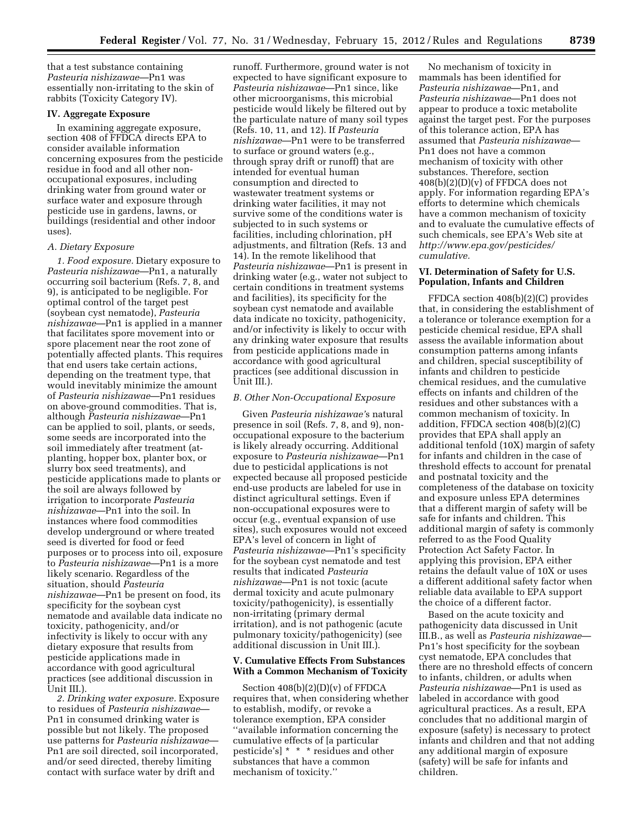that a test substance containing *Pasteuria nishizawae*—Pn1 was essentially non-irritating to the skin of rabbits (Toxicity Category IV).

### **IV. Aggregate Exposure**

In examining aggregate exposure, section 408 of FFDCA directs EPA to consider available information concerning exposures from the pesticide residue in food and all other nonoccupational exposures, including drinking water from ground water or surface water and exposure through pesticide use in gardens, lawns, or buildings (residential and other indoor uses).

## *A. Dietary Exposure*

*1. Food exposure.* Dietary exposure to *Pasteuria nishizawae*—Pn1, a naturally occurring soil bacterium (Refs. 7, 8, and 9), is anticipated to be negligible. For optimal control of the target pest (soybean cyst nematode), *Pasteuria nishizawae*—Pn1 is applied in a manner that facilitates spore movement into or spore placement near the root zone of potentially affected plants. This requires that end users take certain actions, depending on the treatment type, that would inevitably minimize the amount of *Pasteuria nishizawae*—Pn1 residues on above-ground commodities. That is, although *Pasteuria nishizawae*—Pn1 can be applied to soil, plants, or seeds, some seeds are incorporated into the soil immediately after treatment (atplanting, hopper box, planter box, or slurry box seed treatments), and pesticide applications made to plants or the soil are always followed by irrigation to incorporate *Pasteuria nishizawae*—Pn1 into the soil. In instances where food commodities develop underground or where treated seed is diverted for food or feed purposes or to process into oil, exposure to *Pasteuria nishizawae*—Pn1 is a more likely scenario. Regardless of the situation, should *Pasteuria nishizawae*—Pn1 be present on food, its specificity for the soybean cyst nematode and available data indicate no toxicity, pathogenicity, and/or infectivity is likely to occur with any dietary exposure that results from pesticide applications made in accordance with good agricultural practices (see additional discussion in Unit III.).

*2. Drinking water exposure.* Exposure to residues of *Pasteuria nishizawae*— Pn1 in consumed drinking water is possible but not likely. The proposed use patterns for *Pasteuria nishizawae*— Pn1 are soil directed, soil incorporated, and/or seed directed, thereby limiting contact with surface water by drift and

runoff. Furthermore, ground water is not expected to have significant exposure to *Pasteuria nishizawae*—Pn1 since, like other microorganisms, this microbial pesticide would likely be filtered out by the particulate nature of many soil types (Refs. 10, 11, and 12). If *Pasteuria nishizawae*—Pn1 were to be transferred to surface or ground waters (e.g., through spray drift or runoff) that are intended for eventual human consumption and directed to wastewater treatment systems or drinking water facilities, it may not survive some of the conditions water is subjected to in such systems or facilities, including chlorination, pH adjustments, and filtration (Refs. 13 and 14). In the remote likelihood that *Pasteuria nishizawae*—Pn1 is present in drinking water (e.g., water not subject to certain conditions in treatment systems and facilities), its specificity for the soybean cyst nematode and available data indicate no toxicity, pathogenicity, and/or infectivity is likely to occur with any drinking water exposure that results from pesticide applications made in accordance with good agricultural practices (see additional discussion in Unit III.).

#### *B. Other Non-Occupational Exposure*

Given *Pasteuria nishizawae'*s natural presence in soil (Refs. 7, 8, and 9), nonoccupational exposure to the bacterium is likely already occurring. Additional exposure to *Pasteuria nishizawae*—Pn1 due to pesticidal applications is not expected because all proposed pesticide end-use products are labeled for use in distinct agricultural settings. Even if non-occupational exposures were to occur (e.g., eventual expansion of use sites), such exposures would not exceed EPA's level of concern in light of *Pasteuria nishizawae*—Pn1's specificity for the soybean cyst nematode and test results that indicated *Pasteuria nishizawae*—Pn1 is not toxic (acute dermal toxicity and acute pulmonary toxicity/pathogenicity), is essentially non-irritating (primary dermal irritation), and is not pathogenic (acute pulmonary toxicity/pathogenicity) (see additional discussion in Unit III.).

#### **V. Cumulative Effects From Substances With a Common Mechanism of Toxicity**

Section 408(b)(2)(D)(v) of FFDCA requires that, when considering whether to establish, modify, or revoke a tolerance exemption, EPA consider ''available information concerning the cumulative effects of [a particular pesticide's] \* \* \* residues and other substances that have a common mechanism of toxicity.''

No mechanism of toxicity in mammals has been identified for *Pasteuria nishizawae*—Pn1, and *Pasteuria nishizawae*—Pn1 does not appear to produce a toxic metabolite against the target pest. For the purposes of this tolerance action, EPA has assumed that *Pasteuria nishizawae*— Pn1 does not have a common mechanism of toxicity with other substances. Therefore, section  $408(b)(2)(D)(v)$  of FFDCA does not apply. For information regarding EPA's efforts to determine which chemicals have a common mechanism of toxicity and to evaluate the cumulative effects of such chemicals, see EPA's Web site at *[http://www.epa.gov/pesticides/](http://www.epa.gov/pesticides/cumulative) [cumulative.](http://www.epa.gov/pesticides/cumulative)* 

## **VI. Determination of Safety for U.S. Population, Infants and Children**

FFDCA section 408(b)(2)(C) provides that, in considering the establishment of a tolerance or tolerance exemption for a pesticide chemical residue, EPA shall assess the available information about consumption patterns among infants and children, special susceptibility of infants and children to pesticide chemical residues, and the cumulative effects on infants and children of the residues and other substances with a common mechanism of toxicity. In addition, FFDCA section 408(b)(2)(C) provides that EPA shall apply an additional tenfold (10X) margin of safety for infants and children in the case of threshold effects to account for prenatal and postnatal toxicity and the completeness of the database on toxicity and exposure unless EPA determines that a different margin of safety will be safe for infants and children. This additional margin of safety is commonly referred to as the Food Quality Protection Act Safety Factor. In applying this provision, EPA either retains the default value of 10X or uses a different additional safety factor when reliable data available to EPA support the choice of a different factor.

Based on the acute toxicity and pathogenicity data discussed in Unit III.B., as well as *Pasteuria nishizawae*— Pn1's host specificity for the soybean cyst nematode, EPA concludes that there are no threshold effects of concern to infants, children, or adults when *Pasteuria nishizawae*—Pn1 is used as labeled in accordance with good agricultural practices. As a result, EPA concludes that no additional margin of exposure (safety) is necessary to protect infants and children and that not adding any additional margin of exposure (safety) will be safe for infants and children.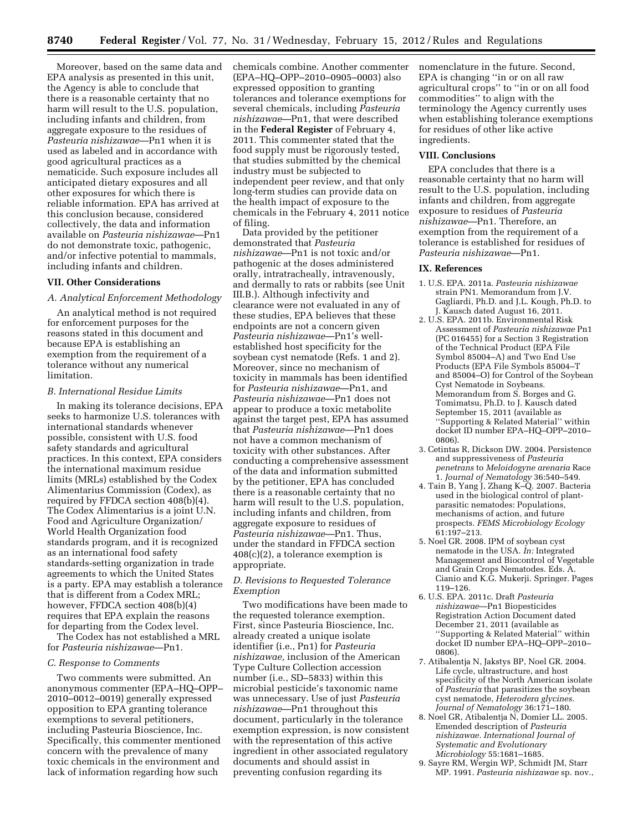Moreover, based on the same data and EPA analysis as presented in this unit, the Agency is able to conclude that there is a reasonable certainty that no harm will result to the U.S. population, including infants and children, from aggregate exposure to the residues of *Pasteuria nishizawae*—Pn1 when it is used as labeled and in accordance with good agricultural practices as a nematicide. Such exposure includes all anticipated dietary exposures and all other exposures for which there is reliable information. EPA has arrived at this conclusion because, considered collectively, the data and information available on *Pasteuria nishizawae*—Pn1 do not demonstrate toxic, pathogenic, and/or infective potential to mammals, including infants and children.

### **VII. Other Considerations**

### *A. Analytical Enforcement Methodology*

An analytical method is not required for enforcement purposes for the reasons stated in this document and because EPA is establishing an exemption from the requirement of a tolerance without any numerical limitation.

### *B. International Residue Limits*

In making its tolerance decisions, EPA seeks to harmonize U.S. tolerances with international standards whenever possible, consistent with U.S. food safety standards and agricultural practices. In this context, EPA considers the international maximum residue limits (MRLs) established by the Codex Alimentarius Commission (Codex), as required by FFDCA section 408(b)(4). The Codex Alimentarius is a joint U.N. Food and Agriculture Organization/ World Health Organization food standards program, and it is recognized as an international food safety standards-setting organization in trade agreements to which the United States is a party. EPA may establish a tolerance that is different from a Codex MRL; however, FFDCA section 408(b)(4) requires that EPA explain the reasons for departing from the Codex level.

The Codex has not established a MRL for *Pasteuria nishizawae*—Pn1.

#### *C. Response to Comments*

Two comments were submitted. An anonymous commenter (EPA–HQ–OPP– 2010–0012–0019) generally expressed opposition to EPA granting tolerance exemptions to several petitioners, including Pasteuria Bioscience, Inc. Specifically, this commenter mentioned concern with the prevalence of many toxic chemicals in the environment and lack of information regarding how such

chemicals combine. Another commenter (EPA–HQ–OPP–2010–0905–0003) also expressed opposition to granting tolerances and tolerance exemptions for several chemicals, including *Pasteuria nishizawae*—Pn1, that were described in the **Federal Register** of February 4, 2011. This commenter stated that the food supply must be rigorously tested, that studies submitted by the chemical industry must be subjected to independent peer review, and that only long-term studies can provide data on the health impact of exposure to the chemicals in the February 4, 2011 notice of filing.

Data provided by the petitioner demonstrated that *Pasteuria nishizawae*—Pn1 is not toxic and/or pathogenic at the doses administered orally, intratracheally, intravenously, and dermally to rats or rabbits (see Unit III.B.). Although infectivity and clearance were not evaluated in any of these studies, EPA believes that these endpoints are not a concern given *Pasteuria nishizawae*—Pn1's wellestablished host specificity for the soybean cyst nematode (Refs. 1 and 2). Moreover, since no mechanism of toxicity in mammals has been identified for *Pasteuria nishizawae*—Pn1, and *Pasteuria nishizawae*—Pn1 does not appear to produce a toxic metabolite against the target pest, EPA has assumed that *Pasteuria nishizawae*—Pn1 does not have a common mechanism of toxicity with other substances. After conducting a comprehensive assessment of the data and information submitted by the petitioner, EPA has concluded there is a reasonable certainty that no harm will result to the U.S. population, including infants and children, from aggregate exposure to residues of *Pasteuria nishizawae*—Pn1. Thus, under the standard in FFDCA section 408(c)(2), a tolerance exemption is appropriate.

## *D. Revisions to Requested Tolerance Exemption*

Two modifications have been made to the requested tolerance exemption. First, since Pasteuria Bioscience, Inc. already created a unique isolate identifier (i.e., Pn1) for *Pasteuria nishizawae,* inclusion of the American Type Culture Collection accession number (i.e., SD–5833) within this microbial pesticide's taxonomic name was unnecessary. Use of just *Pasteuria nishizawae*—Pn1 throughout this document, particularly in the tolerance exemption expression, is now consistent with the representation of this active ingredient in other associated regulatory documents and should assist in preventing confusion regarding its

nomenclature in the future. Second, EPA is changing ''in or on all raw agricultural crops'' to ''in or on all food commodities'' to align with the terminology the Agency currently uses when establishing tolerance exemptions for residues of other like active ingredients.

## **VIII. Conclusions**

EPA concludes that there is a reasonable certainty that no harm will result to the U.S. population, including infants and children, from aggregate exposure to residues of *Pasteuria nishizawae*—Pn1. Therefore, an exemption from the requirement of a tolerance is established for residues of *Pasteuria nishizawae*—Pn1.

#### **IX. References**

- 1. U.S. EPA. 2011a. *Pasteuria nishizawae*  strain PN1. Memorandum from J.V. Gagliardi, Ph.D. and J.L. Kough, Ph.D. to J. Kausch dated August 16, 2011.
- 2. U.S. EPA. 2011b. Environmental Risk Assessment of *Pasteuria nishizawae* Pn1 (PC 016455) for a Section 3 Registration of the Technical Product (EPA File Symbol 85004–A) and Two End Use Products (EPA File Symbols 85004–T and 85004–O) for Control of the Soybean Cyst Nematode in Soybeans. Memorandum from S. Borges and G. Tomimatsu, Ph.D. to J. Kausch dated September 15, 2011 (available as ''Supporting & Related Material'' within docket ID number EPA–HQ–OPP–2010– 0806).
- 3. Cetintas R, Dickson DW. 2004. Persistence and suppressiveness of *Pasteuria penetrans* to *Meloidogyne arenaria* Race 1. *Journal of Nematology* 36:540–549.
- 4. Tain B, Yang J, Zhang K–Q. 2007. Bacteria used in the biological control of plantparasitic nematodes: Populations, mechanisms of action, and future prospects. *FEMS Microbiology Ecology*  61:197–213.
- 5. Noel GR. 2008. IPM of soybean cyst nematode in the USA. *In:* Integrated Management and Biocontrol of Vegetable and Grain Crops Nematodes. Eds. A. Cianio and K.G. Mukerji. Springer. Pages 119–126.
- 6. U.S. EPA. 2011c. Draft *Pasteuria nishizawae*—Pn1 Biopesticides Registration Action Document dated December 21, 2011 (available as ''Supporting & Related Material'' within docket ID number EPA–HQ–OPP–2010– 0806).
- 7. Atibalentja N, Jakstys BP, Noel GR. 2004. Life cycle, ultrastructure, and host specificity of the North American isolate of *Pasteuria* that parasitizes the soybean cyst nematode, *Heterodera glycines. Journal of Nematology* 36:171–180.
- 8. Noel GR, Atibalentja N, Domier LL. 2005. Emended description of *Pasteuria nishizawae. International Journal of Systematic and Evolutionary Microbiology* 55:1681–1685.
- 9. Sayre RM, Wergin WP, Schmidt JM, Starr MP. 1991. *Pasteuria nishizawae* sp. nov.,